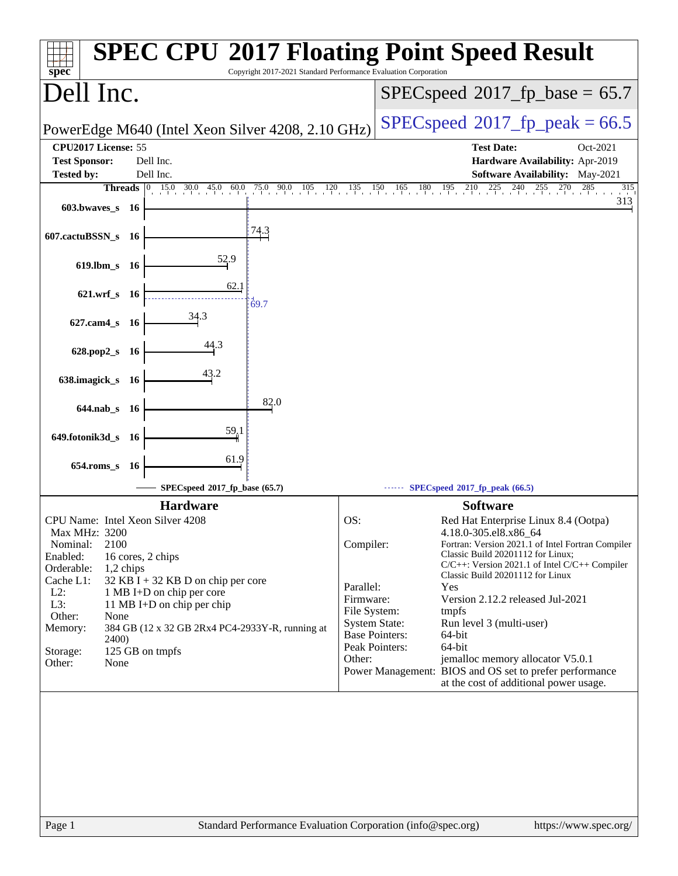| Copyright 2017-2021 Standard Performance Evaluation Corporation<br>$spec^*$                | <b>SPEC CPU®2017 Floating Point Speed Result</b>                                                                                      |
|--------------------------------------------------------------------------------------------|---------------------------------------------------------------------------------------------------------------------------------------|
| Dell Inc.                                                                                  | $SPEC speed^{\circ}2017\_fp\_base = 65.7$                                                                                             |
| PowerEdge M640 (Intel Xeon Silver 4208, 2.10 GHz)                                          | $SPEC speed^{\circ}2017$ [p_peak = 66.5                                                                                               |
| CPU2017 License: 55<br><b>Test Sponsor:</b><br>Dell Inc.                                   | <b>Test Date:</b><br>Oct-2021<br>Hardware Availability: Apr-2019                                                                      |
| Dell Inc.<br><b>Tested by:</b>                                                             | Software Availability: May-2021                                                                                                       |
| <b>Threads</b> 0 15.0 30.0 45.0 60.0 75.0 90.0 105 120 135 150 165 180 195 210 225 240 255 | $\frac{270}{1}$ 285<br>315<br>313                                                                                                     |
| $603.bwaves$ 16                                                                            |                                                                                                                                       |
| <u>74.3</u><br>607.cactuBSSN_s 16                                                          |                                                                                                                                       |
| $\frac{52.9}{5}$<br>$619.$ lbm_s<br>- 16                                                   |                                                                                                                                       |
| 62.1<br>$621.wrf$ <sub>S</sub><br>- 16<br>69.7                                             |                                                                                                                                       |
| 34.3<br>627.cam4_s 16                                                                      |                                                                                                                                       |
| 44.3<br>628.pop2_s<br>- 16                                                                 |                                                                                                                                       |
| 43.2<br>638.imagick_s 16                                                                   |                                                                                                                                       |
| 82.0<br>644.nab_s 16                                                                       |                                                                                                                                       |
| $\frac{59.1}{4}$<br>649.fotonik3d_s 16                                                     |                                                                                                                                       |
| 61.9<br>654.roms_s<br><b>16</b>                                                            |                                                                                                                                       |
| SPECspeed®2017_fp_base (65.7)                                                              | $SPECspeed*2017_fp\_peak(66.5)$                                                                                                       |
| <b>Hardware</b>                                                                            | <b>Software</b>                                                                                                                       |
| CPU Name: Intel Xeon Silver 4208                                                           | OS:<br>Red Hat Enterprise Linux 8.4 (Ootpa)                                                                                           |
| Max MHz: 3200<br>2100<br>Nominal:                                                          | 4.18.0-305.el8.x86_64<br>Compiler:<br>Fortran: Version 2021.1 of Intel Fortran Compiler                                               |
| Enabled:<br>16 cores, 2 chips                                                              | Classic Build 20201112 for Linux;                                                                                                     |
| Orderable:<br>1,2 chips                                                                    | $C/C++$ : Version 2021.1 of Intel $C/C++$ Compiler<br>Classic Build 20201112 for Linux                                                |
| Cache L1:<br>$32$ KB I + 32 KB D on chip per core<br>$L2$ :<br>1 MB I+D on chip per core   | Parallel:<br>Yes                                                                                                                      |
| L3:<br>11 MB I+D on chip per chip                                                          | Firmware:<br>Version 2.12.2 released Jul-2021<br>File System:<br>tmpfs                                                                |
| Other:<br>None                                                                             | <b>System State:</b><br>Run level 3 (multi-user)                                                                                      |
| 384 GB (12 x 32 GB 2Rx4 PC4-2933Y-R, running at<br>Memory:<br>2400)                        | <b>Base Pointers:</b><br>64-bit                                                                                                       |
| Storage:<br>125 GB on tmpfs                                                                | Peak Pointers:<br>64-bit<br>Other:                                                                                                    |
| Other:<br>None                                                                             | jemalloc memory allocator V5.0.1<br>Power Management: BIOS and OS set to prefer performance<br>at the cost of additional power usage. |
|                                                                                            |                                                                                                                                       |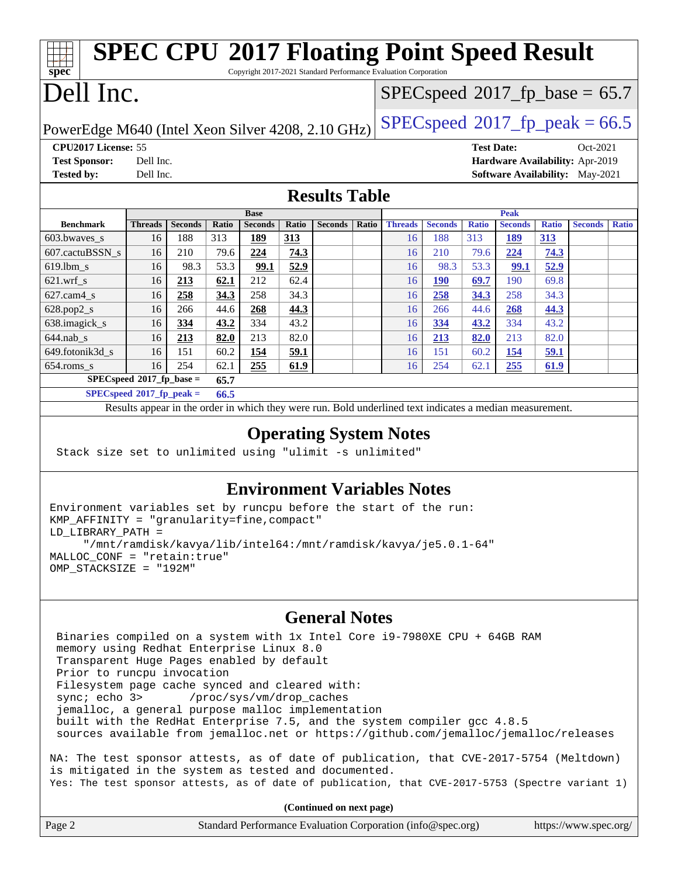#### **[spec](http://www.spec.org/) [SPEC CPU](http://www.spec.org/auto/cpu2017/Docs/result-fields.html#SPECCPU2017FloatingPointSpeedResult)[2017 Floating Point Speed Result](http://www.spec.org/auto/cpu2017/Docs/result-fields.html#SPECCPU2017FloatingPointSpeedResult)** Copyright 2017-2021 Standard Performance Evaluation Corporation Dell Inc. PowerEdge M640 (Intel Xeon Silver 4208, 2.10 GHz)  $\left|$  [SPECspeed](http://www.spec.org/auto/cpu2017/Docs/result-fields.html#SPECspeed2017fppeak)<sup>®</sup>[2017\\_fp\\_peak = 6](http://www.spec.org/auto/cpu2017/Docs/result-fields.html#SPECspeed2017fppeak)6.5  $SPECspeed^{\circ}2017\_fp\_base = 65.7$  $SPECspeed^{\circ}2017\_fp\_base = 65.7$ **[CPU2017 License:](http://www.spec.org/auto/cpu2017/Docs/result-fields.html#CPU2017License)** 55 **[Test Date:](http://www.spec.org/auto/cpu2017/Docs/result-fields.html#TestDate)** Oct-2021 **[Test Sponsor:](http://www.spec.org/auto/cpu2017/Docs/result-fields.html#TestSponsor)** Dell Inc. **[Hardware Availability:](http://www.spec.org/auto/cpu2017/Docs/result-fields.html#HardwareAvailability)** Apr-2019 **[Tested by:](http://www.spec.org/auto/cpu2017/Docs/result-fields.html#Testedby)** Dell Inc. **[Software Availability:](http://www.spec.org/auto/cpu2017/Docs/result-fields.html#SoftwareAvailability)** May-2021 **[Results Table](http://www.spec.org/auto/cpu2017/Docs/result-fields.html#ResultsTable) [Benchmark](http://www.spec.org/auto/cpu2017/Docs/result-fields.html#Benchmark) [Threads](http://www.spec.org/auto/cpu2017/Docs/result-fields.html#Threads) [Seconds](http://www.spec.org/auto/cpu2017/Docs/result-fields.html#Seconds) [Ratio](http://www.spec.org/auto/cpu2017/Docs/result-fields.html#Ratio) [Seconds](http://www.spec.org/auto/cpu2017/Docs/result-fields.html#Seconds) [Ratio](http://www.spec.org/auto/cpu2017/Docs/result-fields.html#Ratio) [Seconds](http://www.spec.org/auto/cpu2017/Docs/result-fields.html#Seconds) [Ratio](http://www.spec.org/auto/cpu2017/Docs/result-fields.html#Ratio) Base [Threads](http://www.spec.org/auto/cpu2017/Docs/result-fields.html#Threads) [Seconds](http://www.spec.org/auto/cpu2017/Docs/result-fields.html#Seconds) [Ratio](http://www.spec.org/auto/cpu2017/Docs/result-fields.html#Ratio) [Seconds](http://www.spec.org/auto/cpu2017/Docs/result-fields.html#Seconds) [Ratio](http://www.spec.org/auto/cpu2017/Docs/result-fields.html#Ratio) [Seconds](http://www.spec.org/auto/cpu2017/Docs/result-fields.html#Seconds) [Ratio](http://www.spec.org/auto/cpu2017/Docs/result-fields.html#Ratio) Peak** [603.bwaves\\_s](http://www.spec.org/auto/cpu2017/Docs/benchmarks/603.bwaves_s.html) 16 188 313 **[189](http://www.spec.org/auto/cpu2017/Docs/result-fields.html#Median) [313](http://www.spec.org/auto/cpu2017/Docs/result-fields.html#Median)** 16 188 313 **[189](http://www.spec.org/auto/cpu2017/Docs/result-fields.html#Median) [313](http://www.spec.org/auto/cpu2017/Docs/result-fields.html#Median)** [607.cactuBSSN\\_s](http://www.spec.org/auto/cpu2017/Docs/benchmarks/607.cactuBSSN_s.html) 16 210 79.6 **[224](http://www.spec.org/auto/cpu2017/Docs/result-fields.html#Median) [74.3](http://www.spec.org/auto/cpu2017/Docs/result-fields.html#Median)** 16 210 79.6 **[224](http://www.spec.org/auto/cpu2017/Docs/result-fields.html#Median) [74.3](http://www.spec.org/auto/cpu2017/Docs/result-fields.html#Median)** [619.lbm\\_s](http://www.spec.org/auto/cpu2017/Docs/benchmarks/619.lbm_s.html) 16 98.3 53.3 **[99.1](http://www.spec.org/auto/cpu2017/Docs/result-fields.html#Median) [52.9](http://www.spec.org/auto/cpu2017/Docs/result-fields.html#Median)** 16 98.3 53.3 **[99.1](http://www.spec.org/auto/cpu2017/Docs/result-fields.html#Median) [52.9](http://www.spec.org/auto/cpu2017/Docs/result-fields.html#Median)** [621.wrf\\_s](http://www.spec.org/auto/cpu2017/Docs/benchmarks/621.wrf_s.html) 16 **[213](http://www.spec.org/auto/cpu2017/Docs/result-fields.html#Median) [62.1](http://www.spec.org/auto/cpu2017/Docs/result-fields.html#Median)** 212 62.4 16 **[190](http://www.spec.org/auto/cpu2017/Docs/result-fields.html#Median) [69.7](http://www.spec.org/auto/cpu2017/Docs/result-fields.html#Median)** 190 69.8 [627.cam4\\_s](http://www.spec.org/auto/cpu2017/Docs/benchmarks/627.cam4_s.html) 16 **[258](http://www.spec.org/auto/cpu2017/Docs/result-fields.html#Median) [34.3](http://www.spec.org/auto/cpu2017/Docs/result-fields.html#Median)** 258 34.3 16 **[258](http://www.spec.org/auto/cpu2017/Docs/result-fields.html#Median) [34.3](http://www.spec.org/auto/cpu2017/Docs/result-fields.html#Median)** 258 34.3 [628.pop2\\_s](http://www.spec.org/auto/cpu2017/Docs/benchmarks/628.pop2_s.html) 16 266 44.6 **[268](http://www.spec.org/auto/cpu2017/Docs/result-fields.html#Median) [44.3](http://www.spec.org/auto/cpu2017/Docs/result-fields.html#Median)** 16 266 44.6 **[268](http://www.spec.org/auto/cpu2017/Docs/result-fields.html#Median) [44.3](http://www.spec.org/auto/cpu2017/Docs/result-fields.html#Median)** [638.imagick\\_s](http://www.spec.org/auto/cpu2017/Docs/benchmarks/638.imagick_s.html) 16 **[334](http://www.spec.org/auto/cpu2017/Docs/result-fields.html#Median) [43.2](http://www.spec.org/auto/cpu2017/Docs/result-fields.html#Median)** 334 43.2 16 **[334](http://www.spec.org/auto/cpu2017/Docs/result-fields.html#Median) [43.2](http://www.spec.org/auto/cpu2017/Docs/result-fields.html#Median)** 334 43.2 [644.nab\\_s](http://www.spec.org/auto/cpu2017/Docs/benchmarks/644.nab_s.html) 16 **[213](http://www.spec.org/auto/cpu2017/Docs/result-fields.html#Median) [82.0](http://www.spec.org/auto/cpu2017/Docs/result-fields.html#Median)** 213 82.0 16 **[213](http://www.spec.org/auto/cpu2017/Docs/result-fields.html#Median) [82.0](http://www.spec.org/auto/cpu2017/Docs/result-fields.html#Median)** 213 82.0 [649.fotonik3d\\_s](http://www.spec.org/auto/cpu2017/Docs/benchmarks/649.fotonik3d_s.html) 16 151 60.2 **[154](http://www.spec.org/auto/cpu2017/Docs/result-fields.html#Median) [59.1](http://www.spec.org/auto/cpu2017/Docs/result-fields.html#Median)** 16 151 60.2 **[154](http://www.spec.org/auto/cpu2017/Docs/result-fields.html#Median) [59.1](http://www.spec.org/auto/cpu2017/Docs/result-fields.html#Median)** [654.roms\\_s](http://www.spec.org/auto/cpu2017/Docs/benchmarks/654.roms_s.html) 16 254 62.1 **[255](http://www.spec.org/auto/cpu2017/Docs/result-fields.html#Median) [61.9](http://www.spec.org/auto/cpu2017/Docs/result-fields.html#Median)** 16 254 62.1 **[255](http://www.spec.org/auto/cpu2017/Docs/result-fields.html#Median) [61.9](http://www.spec.org/auto/cpu2017/Docs/result-fields.html#Median) [SPECspeed](http://www.spec.org/auto/cpu2017/Docs/result-fields.html#SPECspeed2017fpbase)[2017\\_fp\\_base =](http://www.spec.org/auto/cpu2017/Docs/result-fields.html#SPECspeed2017fpbase) 65.7 [SPECspeed](http://www.spec.org/auto/cpu2017/Docs/result-fields.html#SPECspeed2017fppeak)[2017\\_fp\\_peak =](http://www.spec.org/auto/cpu2017/Docs/result-fields.html#SPECspeed2017fppeak) 66.5** Results appear in the [order in which they were run.](http://www.spec.org/auto/cpu2017/Docs/result-fields.html#RunOrder) Bold underlined text [indicates a median measurement.](http://www.spec.org/auto/cpu2017/Docs/result-fields.html#Median)

### **[Operating System Notes](http://www.spec.org/auto/cpu2017/Docs/result-fields.html#OperatingSystemNotes)**

Stack size set to unlimited using "ulimit -s unlimited"

## **[Environment Variables Notes](http://www.spec.org/auto/cpu2017/Docs/result-fields.html#EnvironmentVariablesNotes)**

Environment variables set by runcpu before the start of the run: KMP\_AFFINITY = "granularity=fine,compact" LD\_LIBRARY\_PATH = "/mnt/ramdisk/kavya/lib/intel64:/mnt/ramdisk/kavya/je5.0.1-64" MALLOC\_CONF = "retain:true" OMP\_STACKSIZE = "192M"

## **[General Notes](http://www.spec.org/auto/cpu2017/Docs/result-fields.html#GeneralNotes)**

 Binaries compiled on a system with 1x Intel Core i9-7980XE CPU + 64GB RAM memory using Redhat Enterprise Linux 8.0 Transparent Huge Pages enabled by default Prior to runcpu invocation Filesystem page cache synced and cleared with: sync; echo 3> /proc/sys/vm/drop\_caches jemalloc, a general purpose malloc implementation built with the RedHat Enterprise 7.5, and the system compiler gcc 4.8.5 sources available from jemalloc.net or <https://github.com/jemalloc/jemalloc/releases>

NA: The test sponsor attests, as of date of publication, that CVE-2017-5754 (Meltdown) is mitigated in the system as tested and documented. Yes: The test sponsor attests, as of date of publication, that CVE-2017-5753 (Spectre variant 1)

**(Continued on next page)**

| Page 2 | Standard Performance Evaluation Corporation (info@spec.org) | https://www.spec.org/ |
|--------|-------------------------------------------------------------|-----------------------|
|        |                                                             |                       |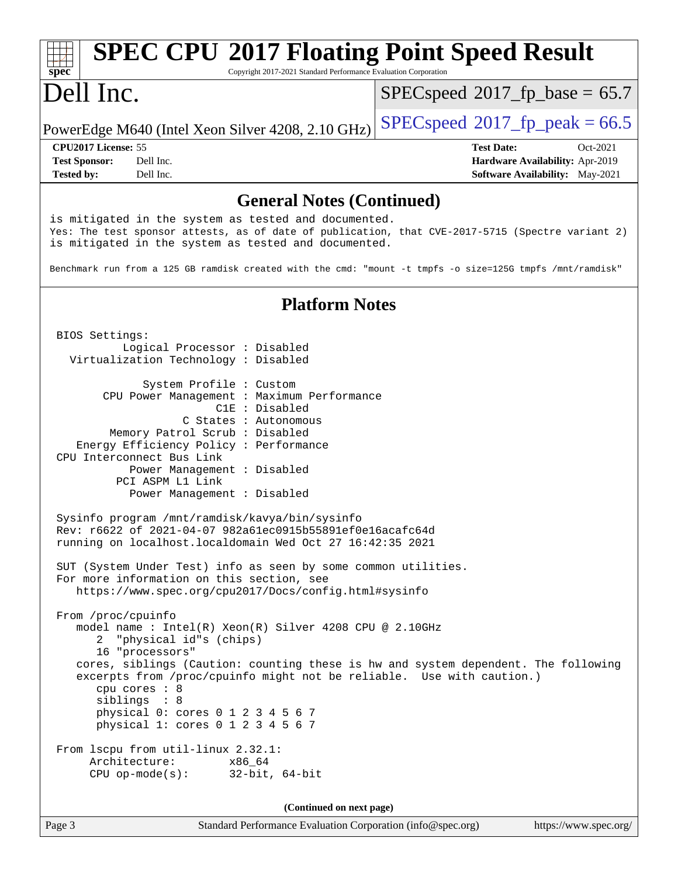| <b>SPEC CPU®2017 Floating Point Speed Result</b><br>Copyright 2017-2021 Standard Performance Evaluation Corporation<br>spec <sup>®</sup>                                                                                                                                                                                                                                                                                                                                                                                                                                                                                                                                                                                                                                                                                                                                                                                                                                                                                                                                                                                                                                                                                                                                                              |                                                                                                            |
|-------------------------------------------------------------------------------------------------------------------------------------------------------------------------------------------------------------------------------------------------------------------------------------------------------------------------------------------------------------------------------------------------------------------------------------------------------------------------------------------------------------------------------------------------------------------------------------------------------------------------------------------------------------------------------------------------------------------------------------------------------------------------------------------------------------------------------------------------------------------------------------------------------------------------------------------------------------------------------------------------------------------------------------------------------------------------------------------------------------------------------------------------------------------------------------------------------------------------------------------------------------------------------------------------------|------------------------------------------------------------------------------------------------------------|
| Dell Inc.                                                                                                                                                                                                                                                                                                                                                                                                                                                                                                                                                                                                                                                                                                                                                                                                                                                                                                                                                                                                                                                                                                                                                                                                                                                                                             | $SPEC speed$ <sup>®</sup> 2017_fp_base = 65.7                                                              |
| PowerEdge M640 (Intel Xeon Silver 4208, 2.10 GHz)                                                                                                                                                                                                                                                                                                                                                                                                                                                                                                                                                                                                                                                                                                                                                                                                                                                                                                                                                                                                                                                                                                                                                                                                                                                     | $SPEC speed$ <sup>®</sup> $2017$ _fp_peak = 66.5                                                           |
| CPU2017 License: 55<br><b>Test Sponsor:</b><br>Dell Inc.<br><b>Tested by:</b><br>Dell Inc.                                                                                                                                                                                                                                                                                                                                                                                                                                                                                                                                                                                                                                                                                                                                                                                                                                                                                                                                                                                                                                                                                                                                                                                                            | <b>Test Date:</b><br>Oct-2021<br>Hardware Availability: Apr-2019<br><b>Software Availability:</b> May-2021 |
| <b>General Notes (Continued)</b>                                                                                                                                                                                                                                                                                                                                                                                                                                                                                                                                                                                                                                                                                                                                                                                                                                                                                                                                                                                                                                                                                                                                                                                                                                                                      |                                                                                                            |
| is mitigated in the system as tested and documented.<br>Yes: The test sponsor attests, as of date of publication, that CVE-2017-5715 (Spectre variant 2)<br>is mitigated in the system as tested and documented.                                                                                                                                                                                                                                                                                                                                                                                                                                                                                                                                                                                                                                                                                                                                                                                                                                                                                                                                                                                                                                                                                      |                                                                                                            |
| Benchmark run from a 125 GB ramdisk created with the cmd: "mount -t tmpfs -o size=125G tmpfs /mnt/ramdisk"                                                                                                                                                                                                                                                                                                                                                                                                                                                                                                                                                                                                                                                                                                                                                                                                                                                                                                                                                                                                                                                                                                                                                                                            |                                                                                                            |
|                                                                                                                                                                                                                                                                                                                                                                                                                                                                                                                                                                                                                                                                                                                                                                                                                                                                                                                                                                                                                                                                                                                                                                                                                                                                                                       |                                                                                                            |
| <b>Platform Notes</b><br>BIOS Settings:<br>Logical Processor : Disabled<br>Virtualization Technology : Disabled<br>System Profile : Custom<br>CPU Power Management : Maximum Performance<br>C1E : Disabled<br>C States : Autonomous<br>Memory Patrol Scrub : Disabled<br>Energy Efficiency Policy : Performance<br>CPU Interconnect Bus Link<br>Power Management : Disabled<br>PCI ASPM L1 Link<br>Power Management : Disabled<br>Sysinfo program /mnt/ramdisk/kavya/bin/sysinfo<br>Rev: r6622 of 2021-04-07 982a61ec0915b55891ef0e16acafc64d<br>running on localhost.localdomain Wed Oct 27 16:42:35 2021<br>SUT (System Under Test) info as seen by some common utilities.<br>For more information on this section, see<br>https://www.spec.org/cpu2017/Docs/config.html#sysinfo<br>From /proc/cpuinfo<br>model name: $Intel(R)$ Xeon(R) Silver 4208 CPU @ 2.10GHz<br>2 "physical id"s (chips)<br>16 "processors"<br>cores, siblings (Caution: counting these is hw and system dependent. The following<br>excerpts from /proc/cpuinfo might not be reliable. Use with caution.)<br>cpu cores : 8<br>siblings : 8<br>physical 0: cores 0 1 2 3 4 5 6 7<br>physical 1: cores 0 1 2 3 4 5 6 7<br>From lscpu from util-linux 2.32.1:<br>Architecture:<br>x86 64<br>$CPU op-mode(s):$<br>32-bit, 64-bit |                                                                                                            |
| (Continued on next page)                                                                                                                                                                                                                                                                                                                                                                                                                                                                                                                                                                                                                                                                                                                                                                                                                                                                                                                                                                                                                                                                                                                                                                                                                                                                              |                                                                                                            |
| Page 3<br>Standard Performance Evaluation Corporation (info@spec.org)                                                                                                                                                                                                                                                                                                                                                                                                                                                                                                                                                                                                                                                                                                                                                                                                                                                                                                                                                                                                                                                                                                                                                                                                                                 | https://www.spec.org/                                                                                      |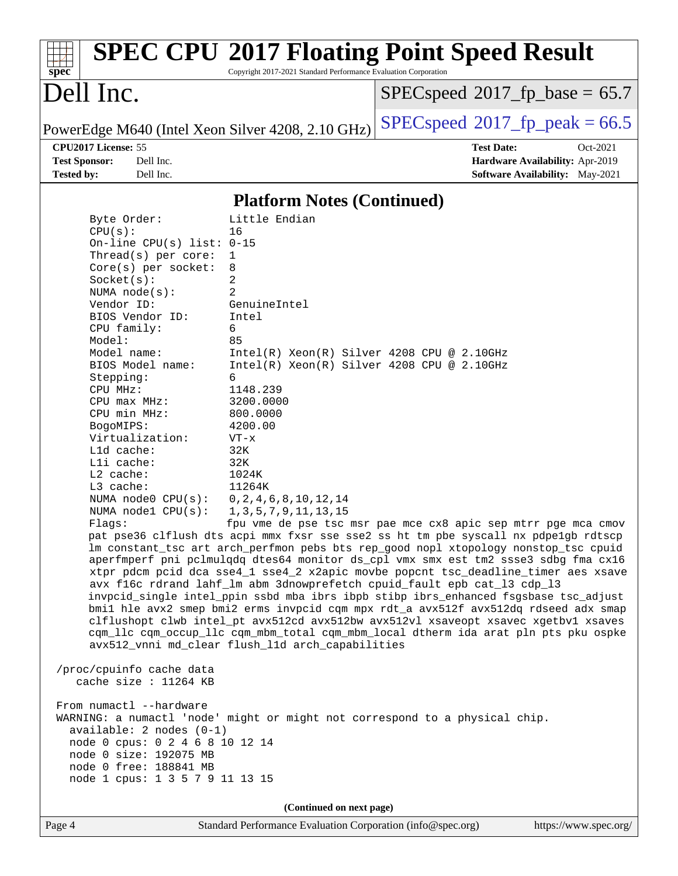| $spec^*$                                                                                                                                                                      | Copyright 2017-2021 Standard Performance Evaluation Corporation | <b>SPEC CPU®2017 Floating Point Speed Result</b>                                                                                                                                                                                                                                                                                                                                                                                                                                                                                                                                                                                                                                                                                                                                             |
|-------------------------------------------------------------------------------------------------------------------------------------------------------------------------------|-----------------------------------------------------------------|----------------------------------------------------------------------------------------------------------------------------------------------------------------------------------------------------------------------------------------------------------------------------------------------------------------------------------------------------------------------------------------------------------------------------------------------------------------------------------------------------------------------------------------------------------------------------------------------------------------------------------------------------------------------------------------------------------------------------------------------------------------------------------------------|
| Dell Inc.                                                                                                                                                                     |                                                                 | $SPEC speed$ <sup>®</sup> 2017_fp_base = 65.7                                                                                                                                                                                                                                                                                                                                                                                                                                                                                                                                                                                                                                                                                                                                                |
| PowerEdge M640 (Intel Xeon Silver 4208, 2.10 GHz)                                                                                                                             |                                                                 | $SPEC speed^{\circ}2017$ _fp_peak = 66.5                                                                                                                                                                                                                                                                                                                                                                                                                                                                                                                                                                                                                                                                                                                                                     |
| CPU2017 License: 55<br><b>Test Sponsor:</b><br>Dell Inc.<br>Dell Inc.<br><b>Tested by:</b>                                                                                    |                                                                 | <b>Test Date:</b><br>Oct-2021<br>Hardware Availability: Apr-2019<br><b>Software Availability:</b> May-2021                                                                                                                                                                                                                                                                                                                                                                                                                                                                                                                                                                                                                                                                                   |
|                                                                                                                                                                               |                                                                 |                                                                                                                                                                                                                                                                                                                                                                                                                                                                                                                                                                                                                                                                                                                                                                                              |
|                                                                                                                                                                               | <b>Platform Notes (Continued)</b>                               |                                                                                                                                                                                                                                                                                                                                                                                                                                                                                                                                                                                                                                                                                                                                                                                              |
| Byte Order:<br>CPU(s):                                                                                                                                                        | Little Endian<br>16                                             |                                                                                                                                                                                                                                                                                                                                                                                                                                                                                                                                                                                                                                                                                                                                                                                              |
| On-line CPU(s) list: $0-15$                                                                                                                                                   |                                                                 |                                                                                                                                                                                                                                                                                                                                                                                                                                                                                                                                                                                                                                                                                                                                                                                              |
| Thread( $s$ ) per core:                                                                                                                                                       | 1                                                               |                                                                                                                                                                                                                                                                                                                                                                                                                                                                                                                                                                                                                                                                                                                                                                                              |
| $Core(s)$ per socket:                                                                                                                                                         | 8                                                               |                                                                                                                                                                                                                                                                                                                                                                                                                                                                                                                                                                                                                                                                                                                                                                                              |
| Socket(s):                                                                                                                                                                    | 2                                                               |                                                                                                                                                                                                                                                                                                                                                                                                                                                                                                                                                                                                                                                                                                                                                                                              |
| NUMA $node(s)$ :                                                                                                                                                              | 2                                                               |                                                                                                                                                                                                                                                                                                                                                                                                                                                                                                                                                                                                                                                                                                                                                                                              |
| Vendor ID:                                                                                                                                                                    | GenuineIntel                                                    |                                                                                                                                                                                                                                                                                                                                                                                                                                                                                                                                                                                                                                                                                                                                                                                              |
| BIOS Vendor ID:<br>CPU family:                                                                                                                                                | Intel<br>6                                                      |                                                                                                                                                                                                                                                                                                                                                                                                                                                                                                                                                                                                                                                                                                                                                                                              |
| Model:                                                                                                                                                                        | 85                                                              |                                                                                                                                                                                                                                                                                                                                                                                                                                                                                                                                                                                                                                                                                                                                                                                              |
| Model name:                                                                                                                                                                   | $Intel(R) Xeon(R) Silver 4208 CPU @ 2.10GHz$                    |                                                                                                                                                                                                                                                                                                                                                                                                                                                                                                                                                                                                                                                                                                                                                                                              |
| BIOS Model name:                                                                                                                                                              | $Intel(R) Xeon(R) Silver 4208 CPU @ 2.10GHz$                    |                                                                                                                                                                                                                                                                                                                                                                                                                                                                                                                                                                                                                                                                                                                                                                                              |
| Stepping:                                                                                                                                                                     | 6                                                               |                                                                                                                                                                                                                                                                                                                                                                                                                                                                                                                                                                                                                                                                                                                                                                                              |
| CPU MHz:                                                                                                                                                                      | 1148.239                                                        |                                                                                                                                                                                                                                                                                                                                                                                                                                                                                                                                                                                                                                                                                                                                                                                              |
| $CPU$ max $MHz$ :                                                                                                                                                             | 3200.0000                                                       |                                                                                                                                                                                                                                                                                                                                                                                                                                                                                                                                                                                                                                                                                                                                                                                              |
| CPU min MHz:<br>BogoMIPS:                                                                                                                                                     | 800.0000<br>4200.00                                             |                                                                                                                                                                                                                                                                                                                                                                                                                                                                                                                                                                                                                                                                                                                                                                                              |
| Virtualization:                                                                                                                                                               | $VT - x$                                                        |                                                                                                                                                                                                                                                                                                                                                                                                                                                                                                                                                                                                                                                                                                                                                                                              |
| L1d cache:                                                                                                                                                                    | 32K                                                             |                                                                                                                                                                                                                                                                                                                                                                                                                                                                                                                                                                                                                                                                                                                                                                                              |
| Lli cache:                                                                                                                                                                    | 32K                                                             |                                                                                                                                                                                                                                                                                                                                                                                                                                                                                                                                                                                                                                                                                                                                                                                              |
| L2 cache:                                                                                                                                                                     | 1024K                                                           |                                                                                                                                                                                                                                                                                                                                                                                                                                                                                                                                                                                                                                                                                                                                                                                              |
| L3 cache:                                                                                                                                                                     | 11264K                                                          |                                                                                                                                                                                                                                                                                                                                                                                                                                                                                                                                                                                                                                                                                                                                                                                              |
| NUMA $node0$ $CPU(s)$ :                                                                                                                                                       | 0, 2, 4, 6, 8, 10, 12, 14                                       |                                                                                                                                                                                                                                                                                                                                                                                                                                                                                                                                                                                                                                                                                                                                                                                              |
| NUMA nodel $CPU(s)$ :                                                                                                                                                         | 1, 3, 5, 7, 9, 11, 13, 15                                       |                                                                                                                                                                                                                                                                                                                                                                                                                                                                                                                                                                                                                                                                                                                                                                                              |
| Flagg:                                                                                                                                                                        |                                                                 | fpu vme de pse tsc msr pae mce cx8 apic sep mtrr pqe mca cmov                                                                                                                                                                                                                                                                                                                                                                                                                                                                                                                                                                                                                                                                                                                                |
|                                                                                                                                                                               | avx512_vnni md_clear flush_lld arch_capabilities                | pat pse36 clflush dts acpi mmx fxsr sse sse2 ss ht tm pbe syscall nx pdpelgb rdtscp<br>lm constant_tsc art arch_perfmon pebs bts rep_good nopl xtopology nonstop_tsc cpuid<br>aperfmperf pni pclmulqdq dtes64 monitor ds_cpl vmx smx est tm2 ssse3 sdbg fma cx16<br>xtpr pdcm pcid dca sse4_1 sse4_2 x2apic movbe popcnt tsc_deadline_timer aes xsave<br>avx f16c rdrand lahf_lm abm 3dnowprefetch cpuid_fault epb cat_13 cdp_13<br>invpcid_single intel_ppin ssbd mba ibrs ibpb stibp ibrs_enhanced fsgsbase tsc_adjust<br>bmil hle avx2 smep bmi2 erms invpcid cqm mpx rdt_a avx512f avx512dq rdseed adx smap<br>clflushopt clwb intel_pt avx512cd avx512bw avx512vl xsaveopt xsavec xgetbvl xsaves<br>cqm_llc cqm_occup_llc cqm_mbm_total cqm_mbm_local dtherm ida arat pln pts pku ospke |
| /proc/cpuinfo cache data<br>cache size : 11264 KB                                                                                                                             |                                                                 |                                                                                                                                                                                                                                                                                                                                                                                                                                                                                                                                                                                                                                                                                                                                                                                              |
| From numactl --hardware<br>available: 2 nodes (0-1)<br>node 0 cpus: 0 2 4 6 8 10 12 14<br>node 0 size: 192075 MB<br>node 0 free: 188841 MB<br>node 1 cpus: 1 3 5 7 9 11 13 15 |                                                                 | WARNING: a numactl 'node' might or might not correspond to a physical chip.                                                                                                                                                                                                                                                                                                                                                                                                                                                                                                                                                                                                                                                                                                                  |
|                                                                                                                                                                               | (Continued on next page)                                        |                                                                                                                                                                                                                                                                                                                                                                                                                                                                                                                                                                                                                                                                                                                                                                                              |
| Page 4                                                                                                                                                                        | Standard Performance Evaluation Corporation (info@spec.org)     | https://www.spec.org/                                                                                                                                                                                                                                                                                                                                                                                                                                                                                                                                                                                                                                                                                                                                                                        |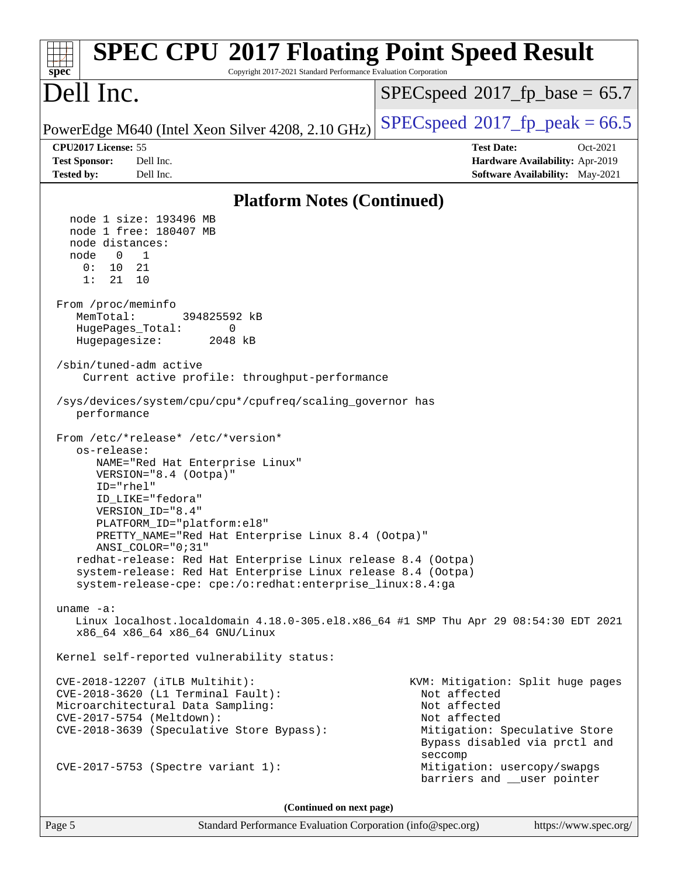| <b>SPEC CPU®2017 Floating Point Speed Result</b><br>Copyright 2017-2021 Standard Performance Evaluation Corporation<br>spec <sup>®</sup>                                                                                                                                                                                                                                                                                                                                                                                                                                                                                                                                                                                                                                                                                                                                                                                                                                                                                                                                                                                                                                                                                                                                                   |                                                                                                                                                     |
|--------------------------------------------------------------------------------------------------------------------------------------------------------------------------------------------------------------------------------------------------------------------------------------------------------------------------------------------------------------------------------------------------------------------------------------------------------------------------------------------------------------------------------------------------------------------------------------------------------------------------------------------------------------------------------------------------------------------------------------------------------------------------------------------------------------------------------------------------------------------------------------------------------------------------------------------------------------------------------------------------------------------------------------------------------------------------------------------------------------------------------------------------------------------------------------------------------------------------------------------------------------------------------------------|-----------------------------------------------------------------------------------------------------------------------------------------------------|
| Dell Inc.                                                                                                                                                                                                                                                                                                                                                                                                                                                                                                                                                                                                                                                                                                                                                                                                                                                                                                                                                                                                                                                                                                                                                                                                                                                                                  | $SPEC speed$ <sup>®</sup> 2017_fp_base = 65.7                                                                                                       |
| PowerEdge M640 (Intel Xeon Silver 4208, 2.10 GHz)                                                                                                                                                                                                                                                                                                                                                                                                                                                                                                                                                                                                                                                                                                                                                                                                                                                                                                                                                                                                                                                                                                                                                                                                                                          | $SPEC speed^{\circ}2017$ [p_peak = 66.5                                                                                                             |
| CPU2017 License: 55                                                                                                                                                                                                                                                                                                                                                                                                                                                                                                                                                                                                                                                                                                                                                                                                                                                                                                                                                                                                                                                                                                                                                                                                                                                                        | <b>Test Date:</b><br>Oct-2021                                                                                                                       |
| <b>Test Sponsor:</b><br>Dell Inc.<br>Dell Inc.<br><b>Tested by:</b>                                                                                                                                                                                                                                                                                                                                                                                                                                                                                                                                                                                                                                                                                                                                                                                                                                                                                                                                                                                                                                                                                                                                                                                                                        | Hardware Availability: Apr-2019<br><b>Software Availability:</b> May-2021                                                                           |
| <b>Platform Notes (Continued)</b>                                                                                                                                                                                                                                                                                                                                                                                                                                                                                                                                                                                                                                                                                                                                                                                                                                                                                                                                                                                                                                                                                                                                                                                                                                                          |                                                                                                                                                     |
| node 1 size: 193496 MB<br>node 1 free: 180407 MB<br>node distances:<br>$\overline{1}$<br>node<br>$\overline{\phantom{0}}$<br>0:<br>10<br>21<br>1:<br>21<br>10<br>From /proc/meminfo<br>MemTotal:<br>394825592 kB<br>HugePages_Total:<br>0<br>Hugepagesize:<br>2048 kB<br>/sbin/tuned-adm active<br>Current active profile: throughput-performance<br>/sys/devices/system/cpu/cpu*/cpufreq/scaling_governor has<br>performance<br>From /etc/*release* /etc/*version*<br>os-release:<br>NAME="Red Hat Enterprise Linux"<br>VERSION="8.4 (Ootpa)"<br>ID="rhel"<br>ID_LIKE="fedora"<br>VERSION_ID="8.4"<br>PLATFORM_ID="platform:el8"<br>PRETTY_NAME="Red Hat Enterprise Linux 8.4 (Ootpa)"<br>ANSI_COLOR="0;31"<br>redhat-release: Red Hat Enterprise Linux release 8.4 (Ootpa)<br>system-release: Red Hat Enterprise Linux release 8.4 (Ootpa)<br>system-release-cpe: cpe:/o:redhat:enterprise_linux:8.4:ga<br>uname $-a$ :<br>Linux localhost.localdomain 4.18.0-305.el8.x86_64 #1 SMP Thu Apr 29 08:54:30 EDT 2021<br>x86_64 x86_64 x86_64 GNU/Linux<br>Kernel self-reported vulnerability status:<br>CVE-2018-12207 (iTLB Multihit):<br>CVE-2018-3620 (L1 Terminal Fault):<br>Microarchitectural Data Sampling:<br>CVE-2017-5754 (Meltdown):<br>CVE-2018-3639 (Speculative Store Bypass): | KVM: Mitigation: Split huge pages<br>Not affected<br>Not affected<br>Not affected<br>Mitigation: Speculative Store<br>Bypass disabled via prctl and |
| CVE-2017-5753 (Spectre variant 1):                                                                                                                                                                                                                                                                                                                                                                                                                                                                                                                                                                                                                                                                                                                                                                                                                                                                                                                                                                                                                                                                                                                                                                                                                                                         | seccomp<br>Mitigation: usercopy/swapgs<br>barriers and __user pointer                                                                               |
| (Continued on next page)                                                                                                                                                                                                                                                                                                                                                                                                                                                                                                                                                                                                                                                                                                                                                                                                                                                                                                                                                                                                                                                                                                                                                                                                                                                                   |                                                                                                                                                     |

Page 5 Standard Performance Evaluation Corporation [\(info@spec.org\)](mailto:info@spec.org) <https://www.spec.org/>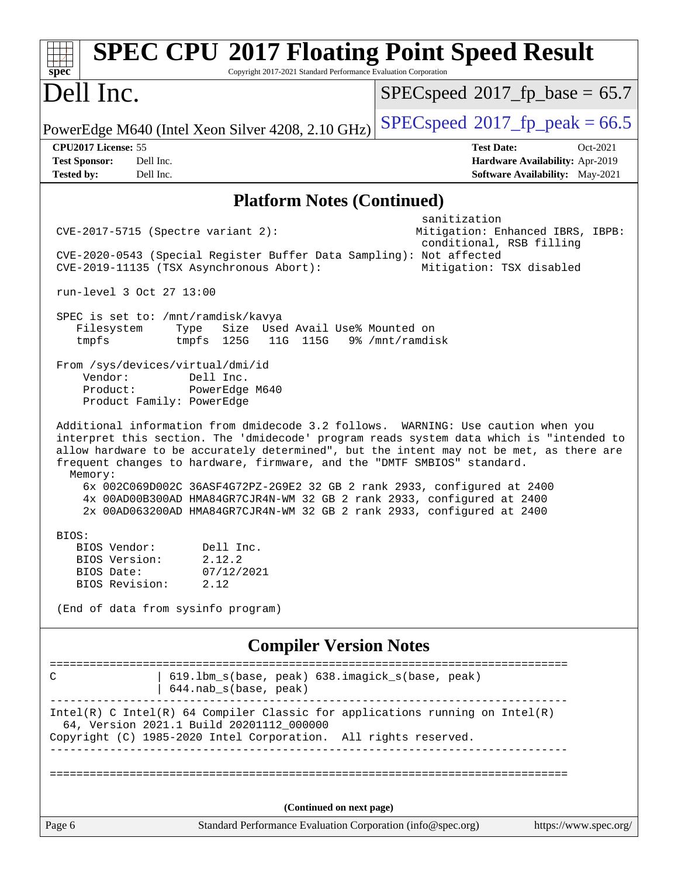| <b>SPEC CPU®2017 Floating Point Speed Result</b><br>Copyright 2017-2021 Standard Performance Evaluation Corporation<br>$spec^*$                                                                                                                                                                                                                                                                                                                                                                                    |                                                                                                          |  |
|--------------------------------------------------------------------------------------------------------------------------------------------------------------------------------------------------------------------------------------------------------------------------------------------------------------------------------------------------------------------------------------------------------------------------------------------------------------------------------------------------------------------|----------------------------------------------------------------------------------------------------------|--|
| Dell Inc.                                                                                                                                                                                                                                                                                                                                                                                                                                                                                                          | $SPEC speed^{\circ}2017$ fp base = 65.7                                                                  |  |
| PowerEdge M640 (Intel Xeon Silver 4208, 2.10 GHz)                                                                                                                                                                                                                                                                                                                                                                                                                                                                  | $SPEC speed^{\circ}2017$ [p_peak = 66.5                                                                  |  |
| CPU2017 License: 55<br><b>Test Sponsor:</b><br>Dell Inc.<br><b>Tested by:</b><br>Dell Inc.                                                                                                                                                                                                                                                                                                                                                                                                                         | <b>Test Date:</b><br>Oct-2021<br>Hardware Availability: Apr-2019<br>Software Availability: May-2021      |  |
| <b>Platform Notes (Continued)</b>                                                                                                                                                                                                                                                                                                                                                                                                                                                                                  |                                                                                                          |  |
| $CVE-2017-5715$ (Spectre variant 2):<br>CVE-2020-0543 (Special Register Buffer Data Sampling): Not affected<br>CVE-2019-11135 (TSX Asynchronous Abort):                                                                                                                                                                                                                                                                                                                                                            | sanitization<br>Mitigation: Enhanced IBRS, IBPB:<br>conditional, RSB filling<br>Mitigation: TSX disabled |  |
| run-level 3 Oct 27 13:00                                                                                                                                                                                                                                                                                                                                                                                                                                                                                           |                                                                                                          |  |
| SPEC is set to: /mnt/ramdisk/kavya<br>Size Used Avail Use% Mounted on<br>Filesystem<br>Type<br>tmpfs 125G<br>tmpfs<br>11G 115G 9% / mnt/ramdisk                                                                                                                                                                                                                                                                                                                                                                    |                                                                                                          |  |
| From /sys/devices/virtual/dmi/id<br>Vendor:<br>Dell Inc.<br>Product:<br>PowerEdge M640<br>Product Family: PowerEdge                                                                                                                                                                                                                                                                                                                                                                                                |                                                                                                          |  |
| Additional information from dmidecode 3.2 follows. WARNING: Use caution when you<br>interpret this section. The 'dmidecode' program reads system data which is "intended to<br>allow hardware to be accurately determined", but the intent may not be met, as there are<br>frequent changes to hardware, firmware, and the "DMTF SMBIOS" standard.<br>Memory:<br>6x 002C069D002C 36ASF4G72PZ-2G9E2 32 GB 2 rank 2933, configured at 2400<br>4x 00AD00B300AD HMA84GR7CJR4N-WM 32 GB 2 rank 2933, configured at 2400 |                                                                                                          |  |
| 2x 00AD063200AD HMA84GR7CJR4N-WM 32 GB 2 rank 2933, configured at 2400<br>BIOS:<br>BIOS Vendor:<br>Dell Inc.<br>BIOS Version:<br>2.12.2<br>07/12/2021<br>BIOS Date:<br>BIOS Revision:<br>2.12                                                                                                                                                                                                                                                                                                                      |                                                                                                          |  |
| (End of data from sysinfo program)                                                                                                                                                                                                                                                                                                                                                                                                                                                                                 |                                                                                                          |  |
| <b>Compiler Version Notes</b>                                                                                                                                                                                                                                                                                                                                                                                                                                                                                      |                                                                                                          |  |
| ======================<br>619.1bm_s(base, peak) 638.imagick_s(base, peak)<br>C<br>644.nab_s(base, peak)                                                                                                                                                                                                                                                                                                                                                                                                            |                                                                                                          |  |
| $Intel(R)$ C Intel(R) 64 Compiler Classic for applications running on Intel(R)<br>64, Version 2021.1 Build 20201112_000000<br>Copyright (C) 1985-2020 Intel Corporation. All rights reserved.                                                                                                                                                                                                                                                                                                                      |                                                                                                          |  |
|                                                                                                                                                                                                                                                                                                                                                                                                                                                                                                                    |                                                                                                          |  |
| (Continued on next page)                                                                                                                                                                                                                                                                                                                                                                                                                                                                                           |                                                                                                          |  |
| Page 6<br>Standard Performance Evaluation Corporation (info@spec.org)                                                                                                                                                                                                                                                                                                                                                                                                                                              | https://www.spec.org/                                                                                    |  |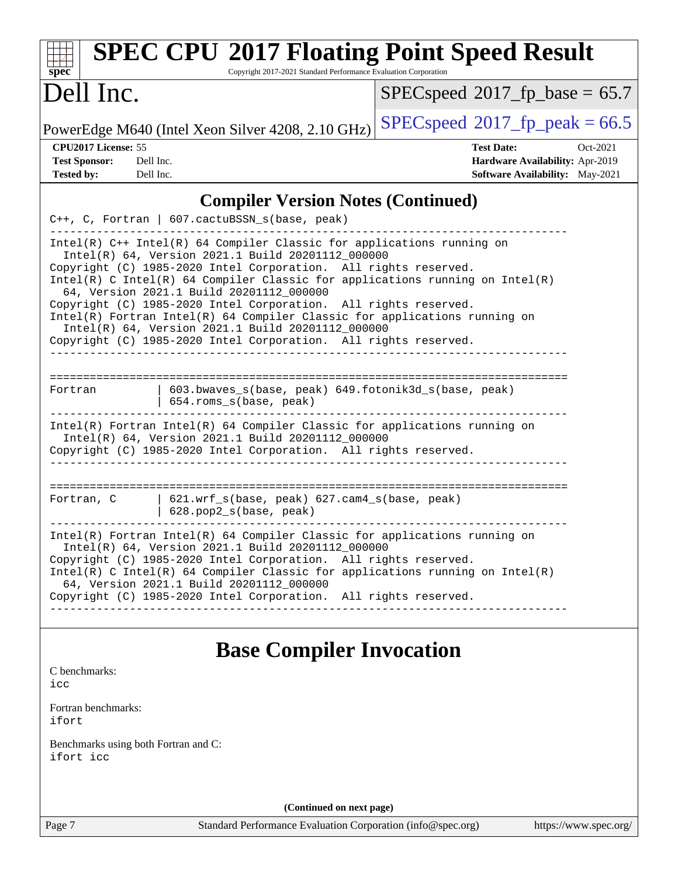| <b>SPEC CPU®2017 Floating Point Speed Result</b><br>Copyright 2017-2021 Standard Performance Evaluation Corporation<br>$spec^*$                                                                                                                                                                                                                                                                                                                                                                                                                                                                   |                                                                                                     |
|---------------------------------------------------------------------------------------------------------------------------------------------------------------------------------------------------------------------------------------------------------------------------------------------------------------------------------------------------------------------------------------------------------------------------------------------------------------------------------------------------------------------------------------------------------------------------------------------------|-----------------------------------------------------------------------------------------------------|
| Dell Inc.                                                                                                                                                                                                                                                                                                                                                                                                                                                                                                                                                                                         | $SPEC speed^{\circ}2017$ fp base = 65.7                                                             |
| PowerEdge M640 (Intel Xeon Silver 4208, 2.10 GHz)                                                                                                                                                                                                                                                                                                                                                                                                                                                                                                                                                 | $SPEC speed^{\circ}2017$ _fp_peak = 66.5                                                            |
| CPU2017 License: 55<br><b>Test Sponsor:</b><br>Dell Inc.<br>Tested by:<br>Dell Inc.                                                                                                                                                                                                                                                                                                                                                                                                                                                                                                               | <b>Test Date:</b><br>Oct-2021<br>Hardware Availability: Apr-2019<br>Software Availability: May-2021 |
| <b>Compiler Version Notes (Continued)</b>                                                                                                                                                                                                                                                                                                                                                                                                                                                                                                                                                         |                                                                                                     |
| C++, C, Fortran   607.cactuBSSN_s(base, peak)                                                                                                                                                                                                                                                                                                                                                                                                                                                                                                                                                     |                                                                                                     |
| Intel(R) C++ Intel(R) 64 Compiler Classic for applications running on<br>Intel(R) 64, Version 2021.1 Build 20201112_000000<br>Copyright (C) 1985-2020 Intel Corporation. All rights reserved.<br>Intel(R) C Intel(R) 64 Compiler Classic for applications running on Intel(R)<br>64, Version 2021.1 Build 20201112_000000<br>Copyright (C) 1985-2020 Intel Corporation. All rights reserved.<br>Intel(R) Fortran Intel(R) 64 Compiler Classic for applications running on<br>Intel(R) 64, Version 2021.1 Build 20201112_000000<br>Copyright (C) 1985-2020 Intel Corporation. All rights reserved. |                                                                                                     |
| 603.bwaves_s(base, peak) 649.fotonik3d_s(base, peak)<br>Fortran<br>654.roms_s(base, peak)                                                                                                                                                                                                                                                                                                                                                                                                                                                                                                         |                                                                                                     |
| Intel(R) Fortran Intel(R) 64 Compiler Classic for applications running on<br>Intel(R) 64, Version 2021.1 Build 20201112_000000<br>Copyright (C) 1985-2020 Intel Corporation. All rights reserved.                                                                                                                                                                                                                                                                                                                                                                                                 |                                                                                                     |
| $621.wrf_s(base, peak)$ $627.cam4_s(base, peak)$<br>Fortran, C<br>628.pop2_s(base, peak)                                                                                                                                                                                                                                                                                                                                                                                                                                                                                                          |                                                                                                     |
| $Intel(R)$ Fortran Intel $(R)$ 64 Compiler Classic for applications running on<br>Intel(R) 64, Version 2021.1 Build 20201112_000000<br>Copyright (C) 1985-2020 Intel Corporation. All rights reserved.<br>Intel(R) C Intel(R) 64 Compiler Classic for applications running on Intel(R)<br>64, Version 2021.1 Build 20201112_000000<br>Copyright (C) 1985-2020 Intel Corporation. All rights reserved.                                                                                                                                                                                             |                                                                                                     |
| <b>Base Compiler Invocation</b><br>C benchmarks:<br>icc<br>Fortran benchmarks:<br>ifort<br>Benchmarks using both Fortran and C:<br>ifort icc                                                                                                                                                                                                                                                                                                                                                                                                                                                      |                                                                                                     |
| (Continued on next page)                                                                                                                                                                                                                                                                                                                                                                                                                                                                                                                                                                          |                                                                                                     |
| Page 7<br>Standard Performance Evaluation Corporation (info@spec.org)                                                                                                                                                                                                                                                                                                                                                                                                                                                                                                                             | https://www.spec.org/                                                                               |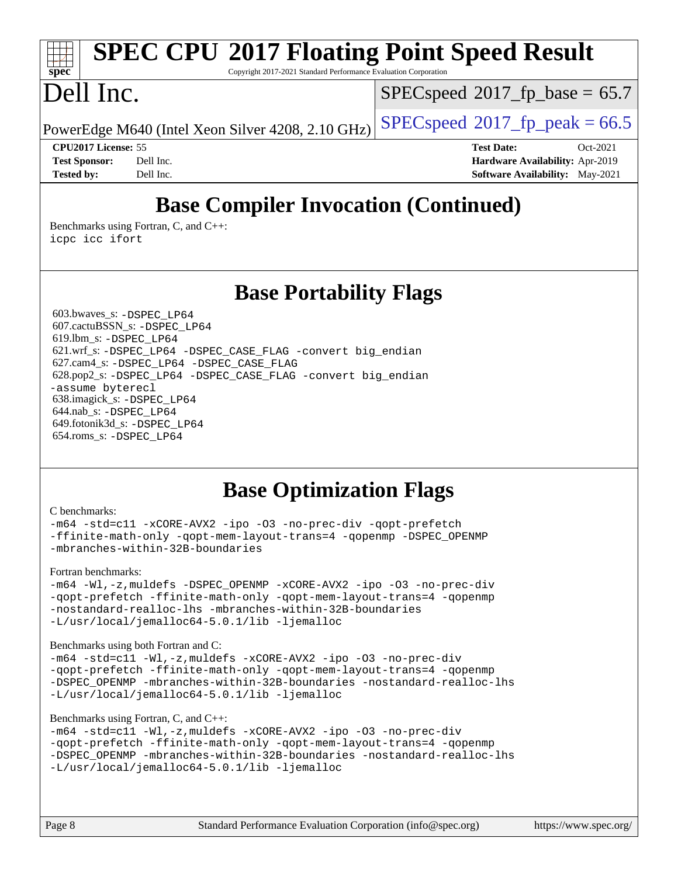# **[SPEC CPU](http://www.spec.org/auto/cpu2017/Docs/result-fields.html#SPECCPU2017FloatingPointSpeedResult)[2017 Floating Point Speed Result](http://www.spec.org/auto/cpu2017/Docs/result-fields.html#SPECCPU2017FloatingPointSpeedResult)**

Copyright 2017-2021 Standard Performance Evaluation Corporation

# Dell Inc.

**[spec](http://www.spec.org/)**

 $SPECspeed^{\circ}2017\_fp\_base = 65.7$  $SPECspeed^{\circ}2017\_fp\_base = 65.7$ 

PowerEdge M640 (Intel Xeon Silver 4208, 2.10 GHz)  $\left|$  [SPECspeed](http://www.spec.org/auto/cpu2017/Docs/result-fields.html#SPECspeed2017fppeak)<sup>®</sup>[2017\\_fp\\_peak = 6](http://www.spec.org/auto/cpu2017/Docs/result-fields.html#SPECspeed2017fppeak)6.5

**[CPU2017 License:](http://www.spec.org/auto/cpu2017/Docs/result-fields.html#CPU2017License)** 55 **[Test Date:](http://www.spec.org/auto/cpu2017/Docs/result-fields.html#TestDate)** Oct-2021 **[Test Sponsor:](http://www.spec.org/auto/cpu2017/Docs/result-fields.html#TestSponsor)** Dell Inc. **[Hardware Availability:](http://www.spec.org/auto/cpu2017/Docs/result-fields.html#HardwareAvailability)** Apr-2019 **[Tested by:](http://www.spec.org/auto/cpu2017/Docs/result-fields.html#Testedby)** Dell Inc. **[Software Availability:](http://www.spec.org/auto/cpu2017/Docs/result-fields.html#SoftwareAvailability)** May-2021

# **[Base Compiler Invocation \(Continued\)](http://www.spec.org/auto/cpu2017/Docs/result-fields.html#BaseCompilerInvocation)**

[Benchmarks using Fortran, C, and C++:](http://www.spec.org/auto/cpu2017/Docs/result-fields.html#BenchmarksusingFortranCandCXX) [icpc](http://www.spec.org/cpu2017/results/res2021q4/cpu2017-20211108-29985.flags.html#user_CC_CXX_FCbase_intel_icpc_c510b6838c7f56d33e37e94d029a35b4a7bccf4766a728ee175e80a419847e808290a9b78be685c44ab727ea267ec2f070ec5dc83b407c0218cded6866a35d07) [icc](http://www.spec.org/cpu2017/results/res2021q4/cpu2017-20211108-29985.flags.html#user_CC_CXX_FCbase_intel_icc_66fc1ee009f7361af1fbd72ca7dcefbb700085f36577c54f309893dd4ec40d12360134090235512931783d35fd58c0460139e722d5067c5574d8eaf2b3e37e92) [ifort](http://www.spec.org/cpu2017/results/res2021q4/cpu2017-20211108-29985.flags.html#user_CC_CXX_FCbase_intel_ifort_8111460550e3ca792625aed983ce982f94888b8b503583aa7ba2b8303487b4d8a21a13e7191a45c5fd58ff318f48f9492884d4413fa793fd88dd292cad7027ca)

## **[Base Portability Flags](http://www.spec.org/auto/cpu2017/Docs/result-fields.html#BasePortabilityFlags)**

 603.bwaves\_s: [-DSPEC\\_LP64](http://www.spec.org/cpu2017/results/res2021q4/cpu2017-20211108-29985.flags.html#suite_basePORTABILITY603_bwaves_s_DSPEC_LP64) 607.cactuBSSN\_s: [-DSPEC\\_LP64](http://www.spec.org/cpu2017/results/res2021q4/cpu2017-20211108-29985.flags.html#suite_basePORTABILITY607_cactuBSSN_s_DSPEC_LP64) 619.lbm\_s: [-DSPEC\\_LP64](http://www.spec.org/cpu2017/results/res2021q4/cpu2017-20211108-29985.flags.html#suite_basePORTABILITY619_lbm_s_DSPEC_LP64) 621.wrf\_s: [-DSPEC\\_LP64](http://www.spec.org/cpu2017/results/res2021q4/cpu2017-20211108-29985.flags.html#suite_basePORTABILITY621_wrf_s_DSPEC_LP64) [-DSPEC\\_CASE\\_FLAG](http://www.spec.org/cpu2017/results/res2021q4/cpu2017-20211108-29985.flags.html#b621.wrf_s_baseCPORTABILITY_DSPEC_CASE_FLAG) [-convert big\\_endian](http://www.spec.org/cpu2017/results/res2021q4/cpu2017-20211108-29985.flags.html#user_baseFPORTABILITY621_wrf_s_convert_big_endian_c3194028bc08c63ac5d04de18c48ce6d347e4e562e8892b8bdbdc0214820426deb8554edfa529a3fb25a586e65a3d812c835984020483e7e73212c4d31a38223) 627.cam4\_s: [-DSPEC\\_LP64](http://www.spec.org/cpu2017/results/res2021q4/cpu2017-20211108-29985.flags.html#suite_basePORTABILITY627_cam4_s_DSPEC_LP64) [-DSPEC\\_CASE\\_FLAG](http://www.spec.org/cpu2017/results/res2021q4/cpu2017-20211108-29985.flags.html#b627.cam4_s_baseCPORTABILITY_DSPEC_CASE_FLAG) 628.pop2\_s: [-DSPEC\\_LP64](http://www.spec.org/cpu2017/results/res2021q4/cpu2017-20211108-29985.flags.html#suite_basePORTABILITY628_pop2_s_DSPEC_LP64) [-DSPEC\\_CASE\\_FLAG](http://www.spec.org/cpu2017/results/res2021q4/cpu2017-20211108-29985.flags.html#b628.pop2_s_baseCPORTABILITY_DSPEC_CASE_FLAG) [-convert big\\_endian](http://www.spec.org/cpu2017/results/res2021q4/cpu2017-20211108-29985.flags.html#user_baseFPORTABILITY628_pop2_s_convert_big_endian_c3194028bc08c63ac5d04de18c48ce6d347e4e562e8892b8bdbdc0214820426deb8554edfa529a3fb25a586e65a3d812c835984020483e7e73212c4d31a38223) [-assume byterecl](http://www.spec.org/cpu2017/results/res2021q4/cpu2017-20211108-29985.flags.html#user_baseFPORTABILITY628_pop2_s_assume_byterecl_7e47d18b9513cf18525430bbf0f2177aa9bf368bc7a059c09b2c06a34b53bd3447c950d3f8d6c70e3faf3a05c8557d66a5798b567902e8849adc142926523472) 638.imagick\_s: [-DSPEC\\_LP64](http://www.spec.org/cpu2017/results/res2021q4/cpu2017-20211108-29985.flags.html#suite_basePORTABILITY638_imagick_s_DSPEC_LP64) 644.nab\_s: [-DSPEC\\_LP64](http://www.spec.org/cpu2017/results/res2021q4/cpu2017-20211108-29985.flags.html#suite_basePORTABILITY644_nab_s_DSPEC_LP64) 649.fotonik3d\_s: [-DSPEC\\_LP64](http://www.spec.org/cpu2017/results/res2021q4/cpu2017-20211108-29985.flags.html#suite_basePORTABILITY649_fotonik3d_s_DSPEC_LP64) 654.roms\_s: [-DSPEC\\_LP64](http://www.spec.org/cpu2017/results/res2021q4/cpu2017-20211108-29985.flags.html#suite_basePORTABILITY654_roms_s_DSPEC_LP64)

# **[Base Optimization Flags](http://www.spec.org/auto/cpu2017/Docs/result-fields.html#BaseOptimizationFlags)**

#### [C benchmarks](http://www.spec.org/auto/cpu2017/Docs/result-fields.html#Cbenchmarks):

```
-m64 -std=c11 -xCORE-AVX2 -ipo -O3 -no-prec-div -qopt-prefetch
-ffinite-math-only -qopt-mem-layout-trans=4 -qopenmp -DSPEC_OPENMP
-mbranches-within-32B-boundaries
```
[Fortran benchmarks](http://www.spec.org/auto/cpu2017/Docs/result-fields.html#Fortranbenchmarks):

[-m64](http://www.spec.org/cpu2017/results/res2021q4/cpu2017-20211108-29985.flags.html#user_FCbase_m64-icc) [-Wl,-z,muldefs](http://www.spec.org/cpu2017/results/res2021q4/cpu2017-20211108-29985.flags.html#user_FCbase_link_force_multiple1_b4cbdb97b34bdee9ceefcfe54f4c8ea74255f0b02a4b23e853cdb0e18eb4525ac79b5a88067c842dd0ee6996c24547a27a4b99331201badda8798ef8a743f577) [-DSPEC\\_OPENMP](http://www.spec.org/cpu2017/results/res2021q4/cpu2017-20211108-29985.flags.html#suite_FCbase_DSPEC_OPENMP) [-xCORE-AVX2](http://www.spec.org/cpu2017/results/res2021q4/cpu2017-20211108-29985.flags.html#user_FCbase_f-xCORE-AVX2) [-ipo](http://www.spec.org/cpu2017/results/res2021q4/cpu2017-20211108-29985.flags.html#user_FCbase_f-ipo) [-O3](http://www.spec.org/cpu2017/results/res2021q4/cpu2017-20211108-29985.flags.html#user_FCbase_f-O3) [-no-prec-div](http://www.spec.org/cpu2017/results/res2021q4/cpu2017-20211108-29985.flags.html#user_FCbase_f-no-prec-div) [-qopt-prefetch](http://www.spec.org/cpu2017/results/res2021q4/cpu2017-20211108-29985.flags.html#user_FCbase_f-qopt-prefetch) [-ffinite-math-only](http://www.spec.org/cpu2017/results/res2021q4/cpu2017-20211108-29985.flags.html#user_FCbase_f_finite_math_only_cb91587bd2077682c4b38af759c288ed7c732db004271a9512da14a4f8007909a5f1427ecbf1a0fb78ff2a814402c6114ac565ca162485bbcae155b5e4258871) [-qopt-mem-layout-trans=4](http://www.spec.org/cpu2017/results/res2021q4/cpu2017-20211108-29985.flags.html#user_FCbase_f-qopt-mem-layout-trans_fa39e755916c150a61361b7846f310bcdf6f04e385ef281cadf3647acec3f0ae266d1a1d22d972a7087a248fd4e6ca390a3634700869573d231a252c784941a8) [-qopenmp](http://www.spec.org/cpu2017/results/res2021q4/cpu2017-20211108-29985.flags.html#user_FCbase_qopenmp_16be0c44f24f464004c6784a7acb94aca937f053568ce72f94b139a11c7c168634a55f6653758ddd83bcf7b8463e8028bb0b48b77bcddc6b78d5d95bb1df2967) [-nostandard-realloc-lhs](http://www.spec.org/cpu2017/results/res2021q4/cpu2017-20211108-29985.flags.html#user_FCbase_f_2003_std_realloc_82b4557e90729c0f113870c07e44d33d6f5a304b4f63d4c15d2d0f1fab99f5daaed73bdb9275d9ae411527f28b936061aa8b9c8f2d63842963b95c9dd6426b8a) [-mbranches-within-32B-boundaries](http://www.spec.org/cpu2017/results/res2021q4/cpu2017-20211108-29985.flags.html#user_FCbase_f-mbranches-within-32B-boundaries) [-L/usr/local/jemalloc64-5.0.1/lib](http://www.spec.org/cpu2017/results/res2021q4/cpu2017-20211108-29985.flags.html#user_FCbase_jemalloc_link_path64_1_cc289568b1a6c0fd3b62c91b824c27fcb5af5e8098e6ad028160d21144ef1b8aef3170d2acf0bee98a8da324cfe4f67d0a3d0c4cc4673d993d694dc2a0df248b) [-ljemalloc](http://www.spec.org/cpu2017/results/res2021q4/cpu2017-20211108-29985.flags.html#user_FCbase_jemalloc_link_lib_d1249b907c500fa1c0672f44f562e3d0f79738ae9e3c4a9c376d49f265a04b9c99b167ecedbf6711b3085be911c67ff61f150a17b3472be731631ba4d0471706)

[Benchmarks using both Fortran and C](http://www.spec.org/auto/cpu2017/Docs/result-fields.html#BenchmarksusingbothFortranandC):

```
-m64 -std=c11 -Wl,-z,muldefs -xCORE-AVX2 -ipo -O3 -no-prec-div
-qopt-prefetch -ffinite-math-only -qopt-mem-layout-trans=4 -qopenmp
-DSPEC_OPENMP -mbranches-within-32B-boundaries -nostandard-realloc-lhs
-L/usr/local/jemalloc64-5.0.1/lib -ljemalloc
```
#### [Benchmarks using Fortran, C, and C++:](http://www.spec.org/auto/cpu2017/Docs/result-fields.html#BenchmarksusingFortranCandCXX)

```
-m64 -std=c11 -Wl,-z,muldefs -xCORE-AVX2 -ipo -O3 -no-prec-div
-qopt-prefetch -ffinite-math-only -qopt-mem-layout-trans=4 -qopenmp
-DSPEC_OPENMP -mbranches-within-32B-boundaries -nostandard-realloc-lhs
-L/usr/local/jemalloc64-5.0.1/lib -ljemalloc
```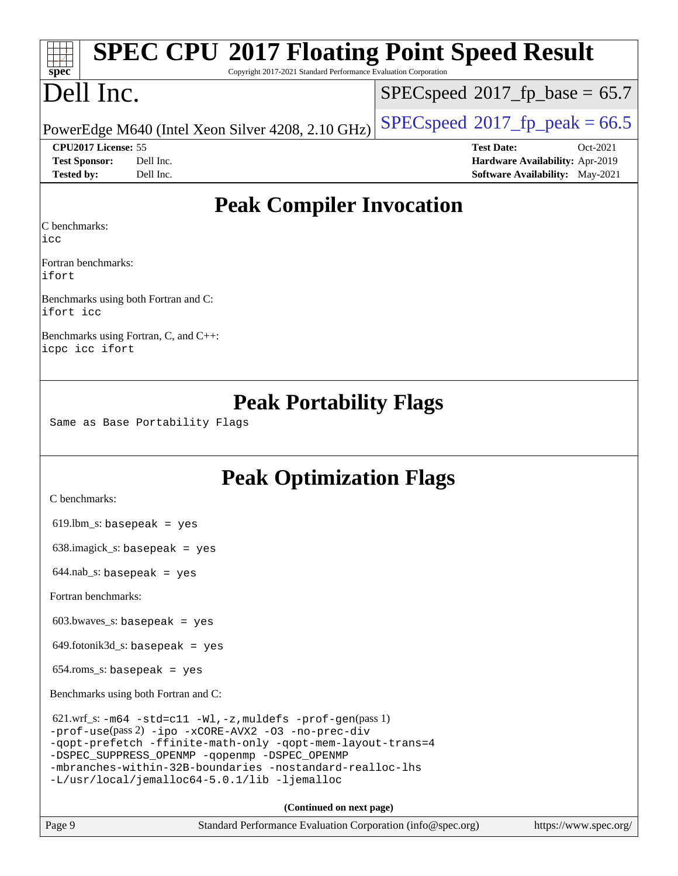| <b>SPEC CPU®2017 Floating Point Speed Result</b><br>Copyright 2017-2021 Standard Performance Evaluation Corporation<br>spec <sup>®</sup>                                                                                                                                                                                                                     |                                                  |
|--------------------------------------------------------------------------------------------------------------------------------------------------------------------------------------------------------------------------------------------------------------------------------------------------------------------------------------------------------------|--------------------------------------------------|
| Dell Inc.                                                                                                                                                                                                                                                                                                                                                    | $SPEC speed^{\circ}2017\_fp\_base = 65.7$        |
| PowerEdge M640 (Intel Xeon Silver 4208, 2.10 GHz)                                                                                                                                                                                                                                                                                                            | $SPEC speed$ <sup>®</sup> $2017$ _fp_peak = 66.5 |
| CPU2017 License: 55                                                                                                                                                                                                                                                                                                                                          | <b>Test Date:</b><br>Oct-2021                    |
| Dell Inc.<br><b>Test Sponsor:</b>                                                                                                                                                                                                                                                                                                                            | Hardware Availability: Apr-2019                  |
| <b>Tested by:</b><br>Dell Inc.                                                                                                                                                                                                                                                                                                                               | Software Availability: May-2021                  |
| <b>Peak Compiler Invocation</b>                                                                                                                                                                                                                                                                                                                              |                                                  |
| C benchmarks:<br>icc                                                                                                                                                                                                                                                                                                                                         |                                                  |
| Fortran benchmarks:<br>ifort                                                                                                                                                                                                                                                                                                                                 |                                                  |
| Benchmarks using both Fortran and C:<br>ifort icc                                                                                                                                                                                                                                                                                                            |                                                  |
| Benchmarks using Fortran, C, and C++:<br>icpc icc ifort                                                                                                                                                                                                                                                                                                      |                                                  |
| <b>Peak Portability Flags</b><br>Same as Base Portability Flags                                                                                                                                                                                                                                                                                              |                                                  |
| <b>Peak Optimization Flags</b>                                                                                                                                                                                                                                                                                                                               |                                                  |
| C benchmarks:                                                                                                                                                                                                                                                                                                                                                |                                                  |
| $619$ .lbm_s: basepeak = yes                                                                                                                                                                                                                                                                                                                                 |                                                  |
| $638.\text{imagek}_s:$ basepeak = yes                                                                                                                                                                                                                                                                                                                        |                                                  |
| $644.nab$ <sub>S</sub> : basepeak = yes                                                                                                                                                                                                                                                                                                                      |                                                  |
| Fortran benchmarks:                                                                                                                                                                                                                                                                                                                                          |                                                  |
| $603.bwaves$ s: basepeak = yes                                                                                                                                                                                                                                                                                                                               |                                                  |
| $649$ .fotonik $3d$ <sub>-</sub> s: basepeak = yes                                                                                                                                                                                                                                                                                                           |                                                  |
| $654$ .roms_s: basepeak = yes                                                                                                                                                                                                                                                                                                                                |                                                  |
| Benchmarks using both Fortran and C:                                                                                                                                                                                                                                                                                                                         |                                                  |
| $621.wrf_s$ : $-m64 - std = c11 - Wl$ , $-z$ , muldefs $-prof-gen(pass 1)$<br>-prof-use(pass 2) -ipo -xCORE-AVX2 -03 -no-prec-div<br>-qopt-prefetch -ffinite-math-only -qopt-mem-layout-trans=4<br>-DSPEC_SUPPRESS_OPENMP -qopenmp -DSPEC_OPENMP<br>-mbranches-within-32B-boundaries -nostandard-realloc-lhs<br>-L/usr/local/jemalloc64-5.0.1/lib -ljemalloc |                                                  |
| (Continued on next page)                                                                                                                                                                                                                                                                                                                                     |                                                  |